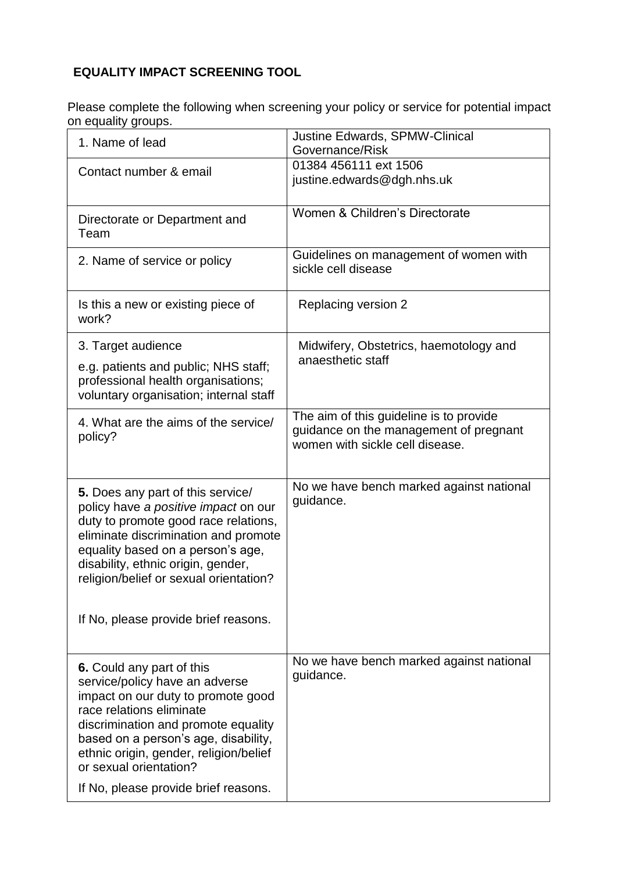## **EQUALITY IMPACT SCREENING TOOL**

Please complete the following when screening your policy or service for potential impact on equality groups.

|  | 1. Name of lead                                                                                                                                                                                                                                                                                                          | <b>Justine Edwards, SPMW-Clinical</b><br>Governance/Risk                                                             |
|--|--------------------------------------------------------------------------------------------------------------------------------------------------------------------------------------------------------------------------------------------------------------------------------------------------------------------------|----------------------------------------------------------------------------------------------------------------------|
|  | Contact number & email                                                                                                                                                                                                                                                                                                   | 01384 456111 ext 1506<br>justine.edwards@dgh.nhs.uk                                                                  |
|  | Directorate or Department and<br>Team                                                                                                                                                                                                                                                                                    | Women & Children's Directorate                                                                                       |
|  | 2. Name of service or policy                                                                                                                                                                                                                                                                                             | Guidelines on management of women with<br>sickle cell disease                                                        |
|  | Is this a new or existing piece of<br>work?                                                                                                                                                                                                                                                                              | Replacing version 2                                                                                                  |
|  | 3. Target audience                                                                                                                                                                                                                                                                                                       | Midwifery, Obstetrics, haemotology and                                                                               |
|  | e.g. patients and public; NHS staff;<br>professional health organisations;<br>voluntary organisation; internal staff                                                                                                                                                                                                     | anaesthetic staff                                                                                                    |
|  | 4. What are the aims of the service/<br>policy?                                                                                                                                                                                                                                                                          | The aim of this guideline is to provide<br>guidance on the management of pregnant<br>women with sickle cell disease. |
|  | 5. Does any part of this service/<br>policy have a positive impact on our<br>duty to promote good race relations,<br>eliminate discrimination and promote<br>equality based on a person's age,<br>disability, ethnic origin, gender,<br>religion/belief or sexual orientation?<br>If No, please provide brief reasons.   | No we have bench marked against national<br>guidance.                                                                |
|  |                                                                                                                                                                                                                                                                                                                          |                                                                                                                      |
|  | 6. Could any part of this<br>service/policy have an adverse<br>impact on our duty to promote good<br>race relations eliminate<br>discrimination and promote equality<br>based on a person's age, disability,<br>ethnic origin, gender, religion/belief<br>or sexual orientation?<br>If No, please provide brief reasons. | No we have bench marked against national<br>guidance.                                                                |
|  |                                                                                                                                                                                                                                                                                                                          |                                                                                                                      |